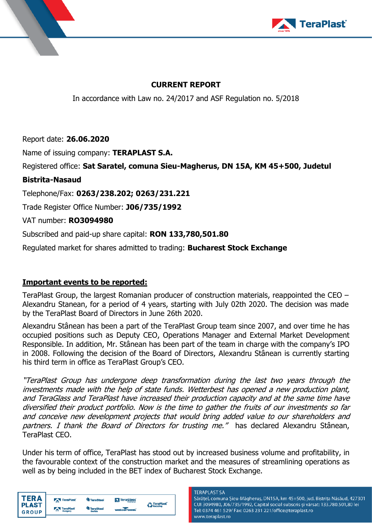



# **CURRENT REPORT**

In accordance with Law no. 24/2017 and ASF Regulation no. 5/2018

Report date: **26.06.2020**

Name of issuing company: **TERAPLAST S.A.**

Registered office: **Sat Saratel, comuna Sieu-Magherus, DN 15A, KM 45+500, Judetul** 

## **Bistrita-Nasaud**

Telephone/Fax: **0263/238.202; 0263/231.221**

Trade Register Office Number: **J06/735/1992**

VAT number: **RO3094980**

Subscribed and paid-up share capital: **RON 133,780,501.80**

Regulated market for shares admitted to trading: **Bucharest Stock Exchange**

## **Important events to be reported:**

TeraPlast Group, the largest Romanian producer of construction materials, reappointed the CEO – Alexandru Stanean, for a period of 4 years, starting with July 02th 2020. The decision was made by the TeraPlast Board of Directors in June 26th 2020.

Alexandru Stânean has been a part of the TeraPlast Group team since 2007, and over time he has occupied positions such as Deputy CEO, Operations Manager and External Market Development Responsible. In addition, Mr. Stânean has been part of the team in charge with the company's IPO in 2008. Following the decision of the Board of Directors, Alexandru Stânean is currently starting his third term in office as TeraPlast Group's CEO.

"TeraPlast Group has undergone deep transformation during the last two years through the investments made with the help of state funds. Wetterbest has opened a new production plant, and TeraGlass and TeraPlast have increased their production capacity and at the same time have diversified their product portfolio. Now is the time to gather the fruits of our investments so far and conceive new development projects that would bring added value to our shareholders and partners. I thank the Board of Directors for trusting me." has declared Alexandru Stânean, TeraPlast CEO.

Under his term of office, TeraPlast has stood out by increased business volume and profitability, in the favourable context of the construction market and the measures of streamlining operations as well as by being included in the BET index of Bucharest Stock Exchange.

| <b>PLAST</b><br><b>GROUP</b> | TeraPlast            | <sup>4</sup> TeraSteel     | <b>N</b> TeraGlass<br>Percentra of col- | <b>TeraPlast</b><br>Recycling |
|------------------------------|----------------------|----------------------------|-----------------------------------------|-------------------------------|
|                              | TeraPlast<br>Hungary | <b>TeraSteel</b><br>Serbia | <b>wetterbeat</b>                       |                               |

### **TERAPI AST SA**

Sărățel, comuna Șieu-Măgheruș, DN15A, km 45+500, jud. Bistrița Năsăud, 427301 CUI 3094980, J06/735/1992, Capital social subscris și vărsat: 133.780.501,80 lei Tel: 0374 461 529/ Fax: 0263 231 221/office@teraplast.ro www.teraplast.ro